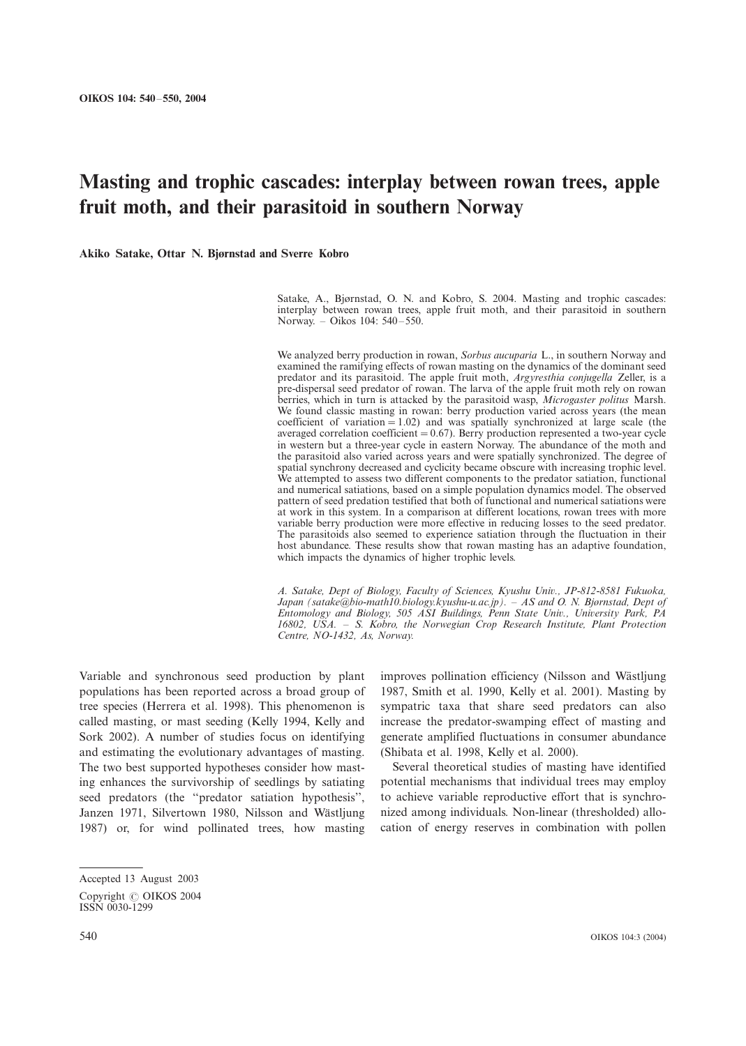# Masting and trophic cascades: interplay between rowan trees, apple fruit moth, and their parasitoid in southern Norway

Akiko Satake, Ottar N. Bjørnstad and Sverre Kobro

Satake, A., Bjørnstad, O. N. and Kobro, S. 2004. Masting and trophic cascades: interplay between rowan trees, apple fruit moth, and their parasitoid in southern Norway. - Oikos 104: 540-550.

We analyzed berry production in rowan, Sorbus aucuparia L., in southern Norway and examined the ramifying effects of rowan masting on the dynamics of the dominant seed predator and its parasitoid. The apple fruit moth, Argyresthia conjugella Zeller, is a pre-dispersal seed predator of rowan. The larva of the apple fruit moth rely on rowan berries, which in turn is attacked by the parasitoid wasp, Microgaster politus Marsh. We found classic masting in rowan: berry production varied across years (the mean coefficient of variation  $= 1.02$ ) and was spatially synchronized at large scale (the averaged correlation coefficient  $= 0.67$ ). Berry production represented a two-year cycle in western but a three-year cycle in eastern Norway. The abundance of the moth and the parasitoid also varied across years and were spatially synchronized. The degree of spatial synchrony decreased and cyclicity became obscure with increasing trophic level. We attempted to assess two different components to the predator satiation, functional and numerical satiations, based on a simple population dynamics model. The observed pattern of seed predation testified that both of functional and numerical satiations were at work in this system. In a comparison at different locations, rowan trees with more variable berry production were more effective in reducing losses to the seed predator. The parasitoids also seemed to experience satiation through the fluctuation in their host abundance. These results show that rowan masting has an adaptive foundation, which impacts the dynamics of higher trophic levels.

A. Satake, Dept of Biology, Faculty of Sciences, Kyushu Univ., JP-812-8581 Fukuoka, Japan (satake@bio-math10.biology.kyushu-u.ac.jp). - AS and O. N. Bjørnstad, Dept of Entomology and Biology, 505 ASI Buildings, Penn State Univ., University Park, PA 16802, USA. - S. Kobro, the Norwegian Crop Research Institute, Plant Protection Centre, NO-1432, As, Norway.

Variable and synchronous seed production by plant populations has been reported across a broad group of tree species (Herrera et al. 1998). This phenomenon is called masting, or mast seeding (Kelly 1994, Kelly and Sork 2002). A number of studies focus on identifying and estimating the evolutionary advantages of masting. The two best supported hypotheses consider how masting enhances the survivorship of seedlings by satiating seed predators (the ''predator satiation hypothesis'', Janzen 1971, Silvertown 1980, Nilsson and Wästljung 1987) or, for wind pollinated trees, how masting improves pollination efficiency (Nilsson and Wästljung 1987, Smith et al. 1990, Kelly et al. 2001). Masting by sympatric taxa that share seed predators can also increase the predator-swamping effect of masting and generate amplified fluctuations in consumer abundance (Shibata et al. 1998, Kelly et al. 2000).

Several theoretical studies of masting have identified potential mechanisms that individual trees may employ to achieve variable reproductive effort that is synchronized among individuals. Non-linear (thresholded) allocation of energy reserves in combination with pollen

Accepted 13 August 2003

Copyright © OIKOS 2004 ISSN 0030-1299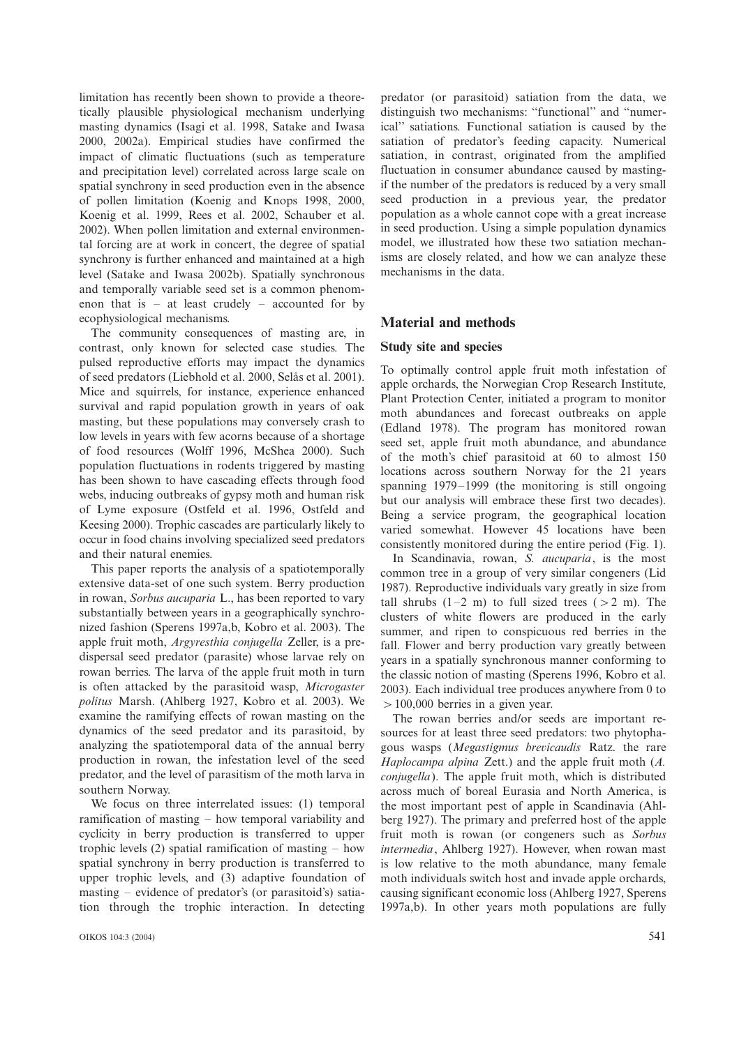limitation has recently been shown to provide a theoretically plausible physiological mechanism underlying masting dynamics (Isagi et al. 1998, Satake and Iwasa 2000, 2002a). Empirical studies have confirmed the impact of climatic fluctuations (such as temperature and precipitation level) correlated across large scale on spatial synchrony in seed production even in the absence of pollen limitation (Koenig and Knops 1998, 2000, Koenig et al. 1999, Rees et al. 2002, Schauber et al. 2002). When pollen limitation and external environmental forcing are at work in concert, the degree of spatial synchrony is further enhanced and maintained at a high level (Satake and Iwasa 2002b). Spatially synchronous and temporally variable seed set is a common phenomenon that is  $-$  at least crudely  $-$  accounted for by ecophysiological mechanisms.

The community consequences of masting are, in contrast, only known for selected case studies. The pulsed reproductive efforts may impact the dynamics of seed predators (Liebhold et al. 2000, Selås et al. 2001). Mice and squirrels, for instance, experience enhanced survival and rapid population growth in years of oak masting, but these populations may conversely crash to low levels in years with few acorns because of a shortage of food resources (Wolff 1996, McShea 2000). Such population fluctuations in rodents triggered by masting has been shown to have cascading effects through food webs, inducing outbreaks of gypsy moth and human risk of Lyme exposure (Ostfeld et al. 1996, Ostfeld and Keesing 2000). Trophic cascades are particularly likely to occur in food chains involving specialized seed predators and their natural enemies.

This paper reports the analysis of a spatiotemporally extensive data-set of one such system. Berry production in rowan, Sorbus aucuparia L., has been reported to vary substantially between years in a geographically synchronized fashion (Sperens 1997a,b, Kobro et al. 2003). The apple fruit moth, Argyresthia conjugella Zeller, is a predispersal seed predator (parasite) whose larvae rely on rowan berries. The larva of the apple fruit moth in turn is often attacked by the parasitoid wasp, Microgaster politus Marsh. (Ahlberg 1927, Kobro et al. 2003). We examine the ramifying effects of rowan masting on the dynamics of the seed predator and its parasitoid, by analyzing the spatiotemporal data of the annual berry production in rowan, the infestation level of the seed predator, and the level of parasitism of the moth larva in southern Norway.

We focus on three interrelated issues: (1) temporal ramification of masting  $-$  how temporal variability and cyclicity in berry production is transferred to upper trophic levels  $(2)$  spatial ramification of masting  $-$  how spatial synchrony in berry production is transferred to upper trophic levels, and (3) adaptive foundation of masting  $-$  evidence of predator's (or parasitoid's) satiation through the trophic interaction. In detecting predator (or parasitoid) satiation from the data, we distinguish two mechanisms: ''functional'' and ''numerical'' satiations. Functional satiation is caused by the satiation of predator's feeding capacity. Numerical satiation, in contrast, originated from the amplified fluctuation in consumer abundance caused by mastingif the number of the predators is reduced by a very small seed production in a previous year, the predator population as a whole cannot cope with a great increase in seed production. Using a simple population dynamics model, we illustrated how these two satiation mechanisms are closely related, and how we can analyze these mechanisms in the data.

## Material and methods

## Study site and species

To optimally control apple fruit moth infestation of apple orchards, the Norwegian Crop Research Institute, Plant Protection Center, initiated a program to monitor moth abundances and forecast outbreaks on apple (Edland 1978). The program has monitored rowan seed set, apple fruit moth abundance, and abundance of the moth's chief parasitoid at 60 to almost 150 locations across southern Norway for the 21 years spanning  $1979-1999$  (the monitoring is still ongoing but our analysis will embrace these first two decades). Being a service program, the geographical location varied somewhat. However 45 locations have been consistently monitored during the entire period (Fig. 1).

In Scandinavia, rowan, S. aucuparia, is the most common tree in a group of very similar congeners (Lid 1987). Reproductive individuals vary greatly in size from tall shrubs  $(1-2 m)$  to full sized trees ( $> 2 m$ ). The clusters of white flowers are produced in the early summer, and ripen to conspicuous red berries in the fall. Flower and berry production vary greatly between years in a spatially synchronous manner conforming to the classic notion of masting (Sperens 1996, Kobro et al. 2003). Each individual tree produces anywhere from 0 to  $>100,000$  berries in a given year.

The rowan berries and/or seeds are important resources for at least three seed predators: two phytophagous wasps (Megastigmus brevicaudis Ratz. the rare Haplocampa alpina Zett.) and the apple fruit moth (A. conjugella). The apple fruit moth, which is distributed across much of boreal Eurasia and North America, is the most important pest of apple in Scandinavia (Ahlberg 1927). The primary and preferred host of the apple fruit moth is rowan (or congeners such as Sorbus intermedia, Ahlberg 1927). However, when rowan mast is low relative to the moth abundance, many female moth individuals switch host and invade apple orchards, causing significant economic loss (Ahlberg 1927, Sperens 1997a,b). In other years moth populations are fully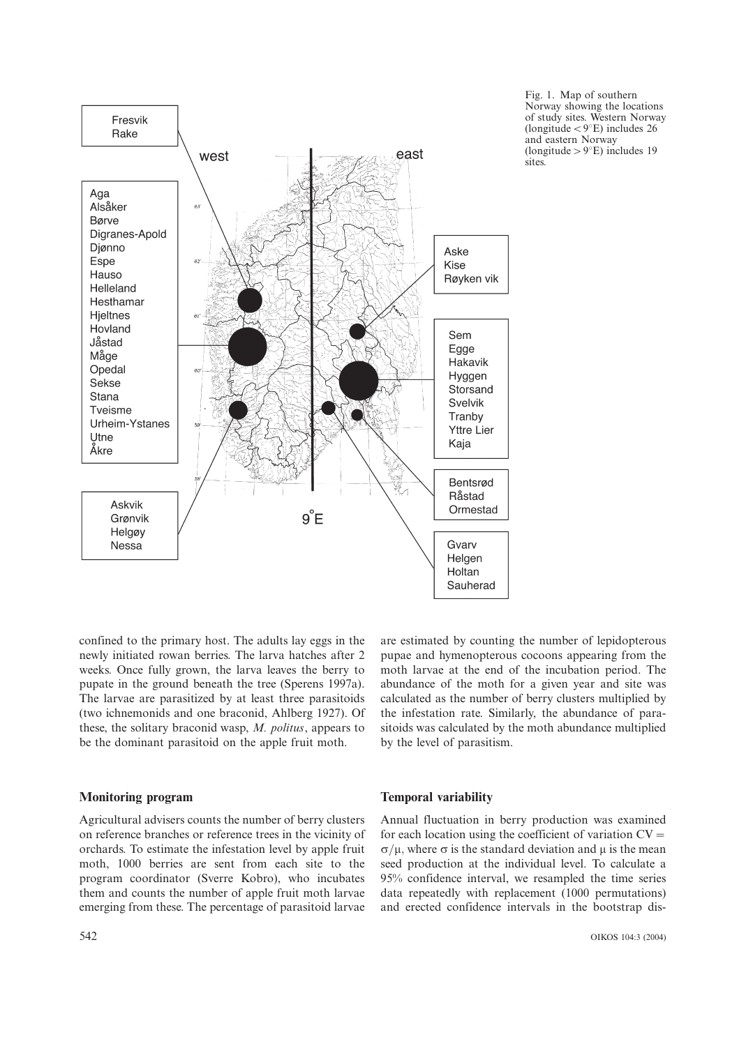

Fig. 1. Map of southern Norway showing the locations of study sites. Western Norway (longitude  $<$  9°E) includes 26 and eastern Norway (longitude  $>9°E$ ) includes 19 sites.

confined to the primary host. The adults lay eggs in the newly initiated rowan berries. The larva hatches after 2 weeks. Once fully grown, the larva leaves the berry to pupate in the ground beneath the tree (Sperens 1997a). The larvae are parasitized by at least three parasitoids (two ichnemonids and one braconid, Ahlberg 1927). Of these, the solitary braconid wasp, M. politus, appears to be the dominant parasitoid on the apple fruit moth.

are estimated by counting the number of lepidopterous pupae and hymenopterous cocoons appearing from the moth larvae at the end of the incubation period. The abundance of the moth for a given year and site was calculated as the number of berry clusters multiplied by the infestation rate. Similarly, the abundance of parasitoids was calculated by the moth abundance multiplied by the level of parasitism.

# Monitoring program

#### Temporal variability

Agricultural advisers counts the number of berry clusters on reference branches or reference trees in the vicinity of orchards. To estimate the infestation level by apple fruit moth, 1000 berries are sent from each site to the program coordinator (Sverre Kobro), who incubates them and counts the number of apple fruit moth larvae emerging from these. The percentage of parasitoid larvae Annual fluctuation in berry production was examined for each location using the coefficient of variation  $CV =$  $\sigma/\mu$ , where  $\sigma$  is the standard deviation and  $\mu$  is the mean seed production at the individual level. To calculate a 95% confidence interval, we resampled the time series data repeatedly with replacement (1000 permutations) and erected confidence intervals in the bootstrap dis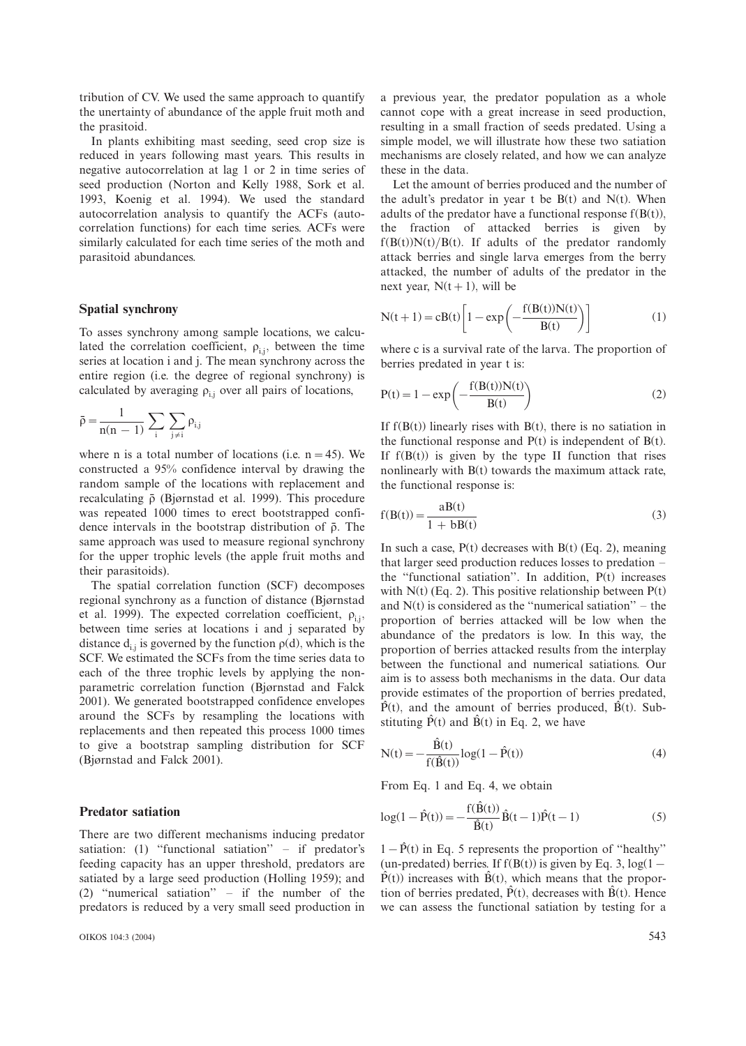tribution of CV. We used the same approach to quantify the unertainty of abundance of the apple fruit moth and the prasitoid.

In plants exhibiting mast seeding, seed crop size is reduced in years following mast years. This results in negative autocorrelation at lag 1 or 2 in time series of seed production (Norton and Kelly 1988, Sork et al. 1993, Koenig et al. 1994). We used the standard autocorrelation analysis to quantify the ACFs (autocorrelation functions) for each time series. ACFs were similarly calculated for each time series of the moth and parasitoid abundances.

## Spatial synchrony

To asses synchrony among sample locations, we calculated the correlation coefficient,  $\rho_{i,j}$ , between the time series at location i and j. The mean synchrony across the entire region (i.e. the degree of regional synchrony) is calculated by averaging  $\rho_{i,j}$  over all pairs of locations,

$$
\bar{\rho} = \frac{1}{n(n-1)} \sum_i \sum_{j \neq i} \rho_{i,j}
$$

where n is a total number of locations (i.e.  $n = 45$ ). We constructed a 95% confidence interval by drawing the random sample of the locations with replacement and recalculating  $\bar{\rho}$  (Bjørnstad et al. 1999). This procedure was repeated 1000 times to erect bootstrapped confidence intervals in the bootstrap distribution of  $\bar{\rho}$ . The same approach was used to measure regional synchrony for the upper trophic levels (the apple fruit moths and their parasitoids).

The spatial correlation function (SCF) decomposes regional synchrony as a function of distance (Bjørnstad et al. 1999). The expected correlation coefficient,  $\rho_{i,j}$ , between time series at locations i and j separated by distance  $d_{ij}$  is governed by the function  $p(d)$ , which is the SCF. We estimated the SCFs from the time series data to each of the three trophic levels by applying the nonparametric correlation function (Bjørnstad and Falck 2001). We generated bootstrapped confidence envelopes around the SCFs by resampling the locations with replacements and then repeated this process 1000 times to give a bootstrap sampling distribution for SCF (Bjørnstad and Falck 2001).

## Predator satiation

There are two different mechanisms inducing predator satiation: (1) "functional satiation"  $-$  if predator's feeding capacity has an upper threshold, predators are satiated by a large seed production (Holling 1959); and (2) "numerical satiation"  $-$  if the number of the predators is reduced by a very small seed production in a previous year, the predator population as a whole cannot cope with a great increase in seed production, resulting in a small fraction of seeds predated. Using a simple model, we will illustrate how these two satiation mechanisms are closely related, and how we can analyze these in the data.

Let the amount of berries produced and the number of the adult's predator in year t be  $B(t)$  and  $N(t)$ . When adults of the predator have a functional response  $f(B(t))$ , the fraction of attacked berries is given by  $f(B(t))N(t)/B(t)$ . If adults of the predator randomly attack berries and single larva emerges from the berry attacked, the number of adults of the predator in the next year,  $N(t+1)$ , will be

$$
N(t+1) = cB(t) \left[ 1 - \exp\left(-\frac{f(B(t))N(t)}{B(t)}\right) \right]
$$
 (1)

where c is a survival rate of the larva. The proportion of berries predated in year t is:

$$
P(t) = 1 - \exp\left(-\frac{f(B(t))N(t)}{B(t)}\right)
$$
 (2)

If  $f(B(t))$  linearly rises with  $B(t)$ , there is no satiation in the functional response and  $P(t)$  is independent of  $B(t)$ . If  $f(B(t))$  is given by the type II function that rises nonlinearly with B(t) towards the maximum attack rate, the functional response is:

$$
f(B(t)) = \frac{aB(t)}{1 + bB(t)}
$$
\n(3)

In such a case,  $P(t)$  decreases with  $B(t)$  (Eq. 2), meaning that larger seed production reduces losses to predation  $$ the ''functional satiation''. In addition, P(t) increases with  $N(t)$  (Eq. 2). This positive relationship between  $P(t)$ and  $N(t)$  is considered as the "numerical satiation" – the proportion of berries attacked will be low when the abundance of the predators is low. In this way, the proportion of berries attacked results from the interplay between the functional and numerical satiations. Our aim is to assess both mechanisms in the data. Our data provide estimates of the proportion of berries predated,  $\hat{P}(t)$ , and the amount of berries produced,  $\hat{B}(t)$ . Substituting  $\hat{P}(t)$  and  $\hat{B}(t)$  in Eq. 2, we have

$$
N(t) = -\frac{\hat{B}(t)}{f(\hat{B}(t))} \log(1 - \hat{P}(t))
$$
\n(4)

From Eq. 1 and Eq. 4, we obtain

$$
log(1 - \hat{P}(t)) = -\frac{f(\hat{B}(t))}{\hat{B}(t)}\hat{B}(t-1)\hat{P}(t-1)
$$
\n(5)

 $1-\hat{P}(t)$  in Eq. 5 represents the proportion of "healthy" (un-predated) berries. If  $f(B(t))$  is given by Eq. 3,  $log(1 \hat{P}(t)$ ) increases with  $\hat{B}(t)$ , which means that the proportion of berries predated,  $\hat{P}(t)$ , decreases with  $\hat{B}(t)$ . Hence we can assess the functional satiation by testing for a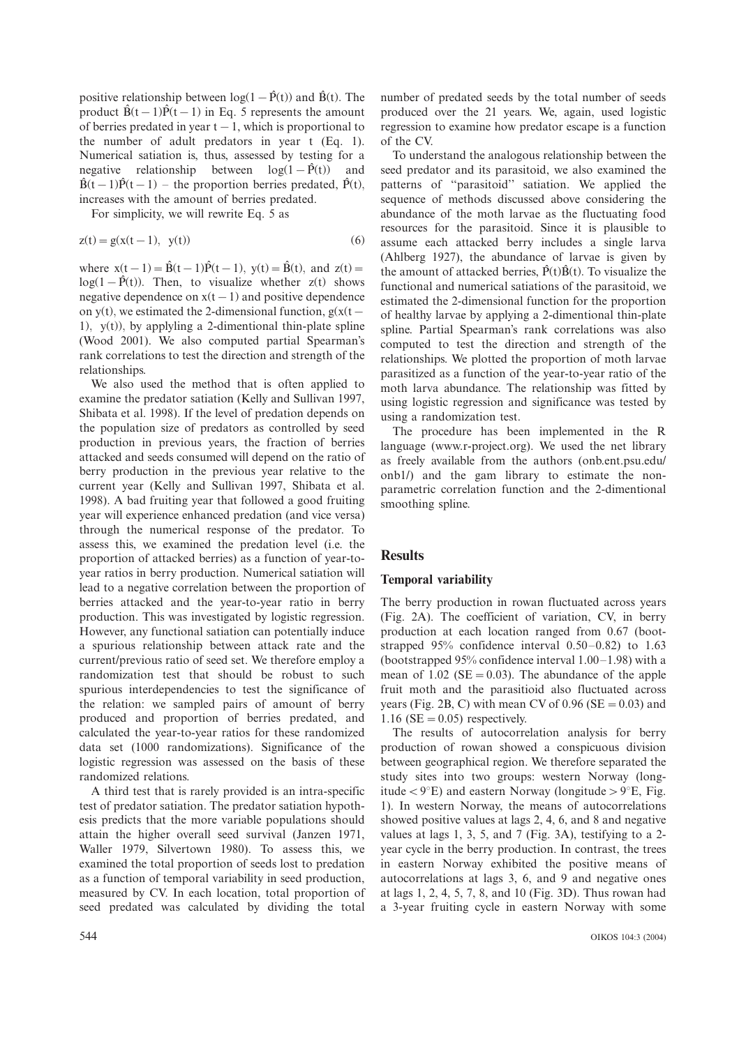positive relationship between  $log(1-\hat{P}(t))$  and  $\hat{B}(t)$ . The product  $\hat{B}(t-1)\hat{P}(t-1)$  in Eq. 5 represents the amount of berries predated in year  $t-1$ , which is proportional to the number of adult predators in year t (Eq. 1). Numerical satiation is, thus, assessed by testing for a negative relationship between  $log(1-\hat{P}(t))$  and  $\hat{B}(t-1)\hat{P}(t-1)$  – the proportion berries predated,  $\hat{P}(t)$ , increases with the amount of berries predated.

For simplicity, we will rewrite Eq. 5 as

$$
z(t) = g(x(t-1), y(t))
$$
 (6)

where  $x(t-1) = \hat{B}(t-1)\hat{P}(t-1)$ ,  $y(t) = \hat{B}(t)$ , and  $z(t) =$  $log(1-\hat{P}(t))$ . Then, to visualize whether z(t) shows negative dependence on  $x(t-1)$  and positive dependence on y(t), we estimated the 2-dimensional function,  $g(x(t –$ 1),  $y(t)$ , by applyling a 2-dimentional thin-plate spline (Wood 2001). We also computed partial Spearman's rank correlations to test the direction and strength of the relationships.

We also used the method that is often applied to examine the predator satiation (Kelly and Sullivan 1997, Shibata et al. 1998). If the level of predation depends on the population size of predators as controlled by seed production in previous years, the fraction of berries attacked and seeds consumed will depend on the ratio of berry production in the previous year relative to the current year (Kelly and Sullivan 1997, Shibata et al. 1998). A bad fruiting year that followed a good fruiting year will experience enhanced predation (and vice versa) through the numerical response of the predator. To assess this, we examined the predation level (i.e. the proportion of attacked berries) as a function of year-toyear ratios in berry production. Numerical satiation will lead to a negative correlation between the proportion of berries attacked and the year-to-year ratio in berry production. This was investigated by logistic regression. However, any functional satiation can potentially induce a spurious relationship between attack rate and the current/previous ratio of seed set. We therefore employ a randomization test that should be robust to such spurious interdependencies to test the significance of the relation: we sampled pairs of amount of berry produced and proportion of berries predated, and calculated the year-to-year ratios for these randomized data set (1000 randomizations). Significance of the logistic regression was assessed on the basis of these randomized relations.

A third test that is rarely provided is an intra-specific test of predator satiation. The predator satiation hypothesis predicts that the more variable populations should attain the higher overall seed survival (Janzen 1971, Waller 1979, Silvertown 1980). To assess this, we examined the total proportion of seeds lost to predation as a function of temporal variability in seed production, measured by CV. In each location, total proportion of seed predated was calculated by dividing the total number of predated seeds by the total number of seeds produced over the 21 years. We, again, used logistic regression to examine how predator escape is a function of the CV.

To understand the analogous relationship between the seed predator and its parasitoid, we also examined the patterns of ''parasitoid'' satiation. We applied the sequence of methods discussed above considering the abundance of the moth larvae as the fluctuating food resources for the parasitoid. Since it is plausible to assume each attacked berry includes a single larva (Ahlberg 1927), the abundance of larvae is given by the amount of attacked berries,  $\hat{P}(t)\hat{B}(t)$ . To visualize the functional and numerical satiations of the parasitoid, we estimated the 2-dimensional function for the proportion of healthy larvae by applying a 2-dimentional thin-plate spline. Partial Spearman's rank correlations was also computed to test the direction and strength of the relationships. We plotted the proportion of moth larvae parasitized as a function of the year-to-year ratio of the moth larva abundance. The relationship was fitted by using logistic regression and significance was tested by using a randomization test.

The procedure has been implemented in the R language (www.r-project.org). We used the net library as freely available from the authors (onb.ent.psu.edu/ onb1/) and the gam library to estimate the nonparametric correlation function and the 2-dimentional smoothing spline.

# **Results**

## Temporal variability

The berry production in rowan fluctuated across years (Fig. 2A). The coefficient of variation, CV, in berry production at each location ranged from 0.67 (bootstrapped  $95\%$  confidence interval  $0.50-0.82$ ) to 1.63 (bootstrapped  $95%$  confidence interval  $1.00-1.98$ ) with a mean of  $1.02$  (SE = 0.03). The abundance of the apple fruit moth and the parasitioid also fluctuated across years (Fig. 2B, C) with mean CV of  $0.96$  (SE =  $0.03$ ) and 1.16 ( $SE = 0.05$ ) respectively.

The results of autocorrelation analysis for berry production of rowan showed a conspicuous division between geographical region. We therefore separated the study sites into two groups: western Norway (longitude  $\langle 9^\circ \text{E} \rangle$  and eastern Norway (longitude  $> 9^\circ \text{E}$ , Fig. 1). In western Norway, the means of autocorrelations showed positive values at lags 2, 4, 6, and 8 and negative values at lags 1, 3, 5, and 7 (Fig. 3A), testifying to a 2 year cycle in the berry production. In contrast, the trees in eastern Norway exhibited the positive means of autocorrelations at lags 3, 6, and 9 and negative ones at lags 1, 2, 4, 5, 7, 8, and 10 (Fig. 3D). Thus rowan had a 3-year fruiting cycle in eastern Norway with some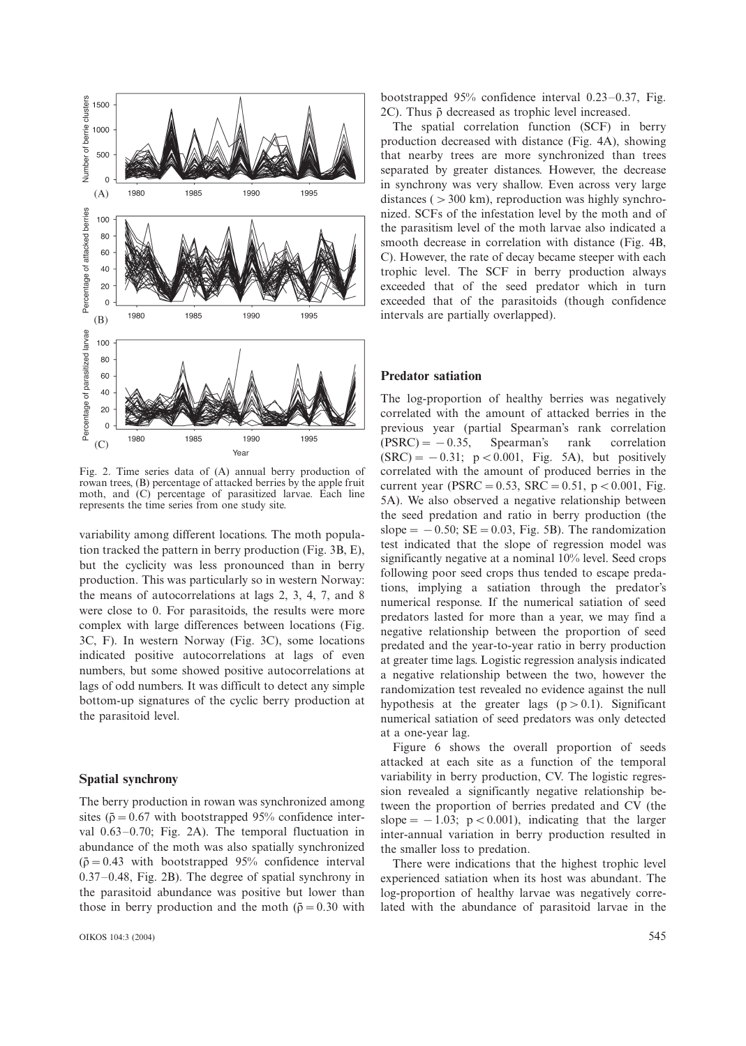

Fig. 2. Time series data of (A) annual berry production of rowan trees, (B) percentage of attacked berries by the apple fruit moth, and (C) percentage of parasitized larvae. Each line represents the time series from one study site.

variability among different locations. The moth population tracked the pattern in berry production (Fig. 3B, E), but the cyclicity was less pronounced than in berry production. This was particularly so in western Norway: the means of autocorrelations at lags 2, 3, 4, 7, and 8 were close to 0. For parasitoids, the results were more complex with large differences between locations (Fig. 3C, F). In western Norway (Fig. 3C), some locations indicated positive autocorrelations at lags of even numbers, but some showed positive autocorrelations at lags of odd numbers. It was difficult to detect any simple bottom-up signatures of the cyclic berry production at the parasitoid level.

## Spatial synchrony

The berry production in rowan was synchronized among sites ( $\bar{p} = 0.67$  with bootstrapped 95% confidence interval  $0.63-0.70$ ; Fig. 2A). The temporal fluctuation in abundance of the moth was also spatially synchronized  $(\bar{\rho} = 0.43$  with bootstrapped 95% confidence interval  $0.37-0.48$ , Fig. 2B). The degree of spatial synchrony in the parasitoid abundance was positive but lower than those in berry production and the moth ( $\bar{\rho} = 0.30$  with

bootstrapped  $95%$  confidence interval 0.23-0.37, Fig. 2C). Thus  $\bar{\rho}$  decreased as trophic level increased.

The spatial correlation function (SCF) in berry production decreased with distance (Fig. 4A), showing that nearby trees are more synchronized than trees separated by greater distances. However, the decrease in synchrony was very shallow. Even across very large distances ( $>300$  km), reproduction was highly synchronized. SCFs of the infestation level by the moth and of the parasitism level of the moth larvae also indicated a smooth decrease in correlation with distance (Fig. 4B, C). However, the rate of decay became steeper with each trophic level. The SCF in berry production always exceeded that of the seed predator which in turn exceeded that of the parasitoids (though confidence intervals are partially overlapped).

## Predator satiation

The log-proportion of healthy berries was negatively correlated with the amount of attacked berries in the previous year (partial Spearman's rank correlation  $(PSRC) = -0.35$ , Spearman's rank correlation  $(SRC) = -0.31$ ;  $p < 0.001$ , Fig. 5A), but positively correlated with the amount of produced berries in the current year (PSRC = 0.53, SRC = 0.51,  $p < 0.001$ , Fig. 5A). We also observed a negative relationship between the seed predation and ratio in berry production (the slope  $= -0.50$ ; SE  $= 0.03$ , Fig. 5B). The randomization test indicated that the slope of regression model was significantly negative at a nominal 10% level. Seed crops following poor seed crops thus tended to escape predations, implying a satiation through the predator's numerical response. If the numerical satiation of seed predators lasted for more than a year, we may find a negative relationship between the proportion of seed predated and the year-to-year ratio in berry production at greater time lags. Logistic regression analysis indicated a negative relationship between the two, however the randomization test revealed no evidence against the null hypothesis at the greater lags  $(p>0.1)$ . Significant numerical satiation of seed predators was only detected at a one-year lag.

Figure 6 shows the overall proportion of seeds attacked at each site as a function of the temporal variability in berry production, CV. The logistic regression revealed a significantly negative relationship between the proportion of berries predated and CV (the slope  $=$   $-1.03$ ; p  $< 0.001$ ), indicating that the larger inter-annual variation in berry production resulted in the smaller loss to predation.

There were indications that the highest trophic level experienced satiation when its host was abundant. The log-proportion of healthy larvae was negatively correlated with the abundance of parasitoid larvae in the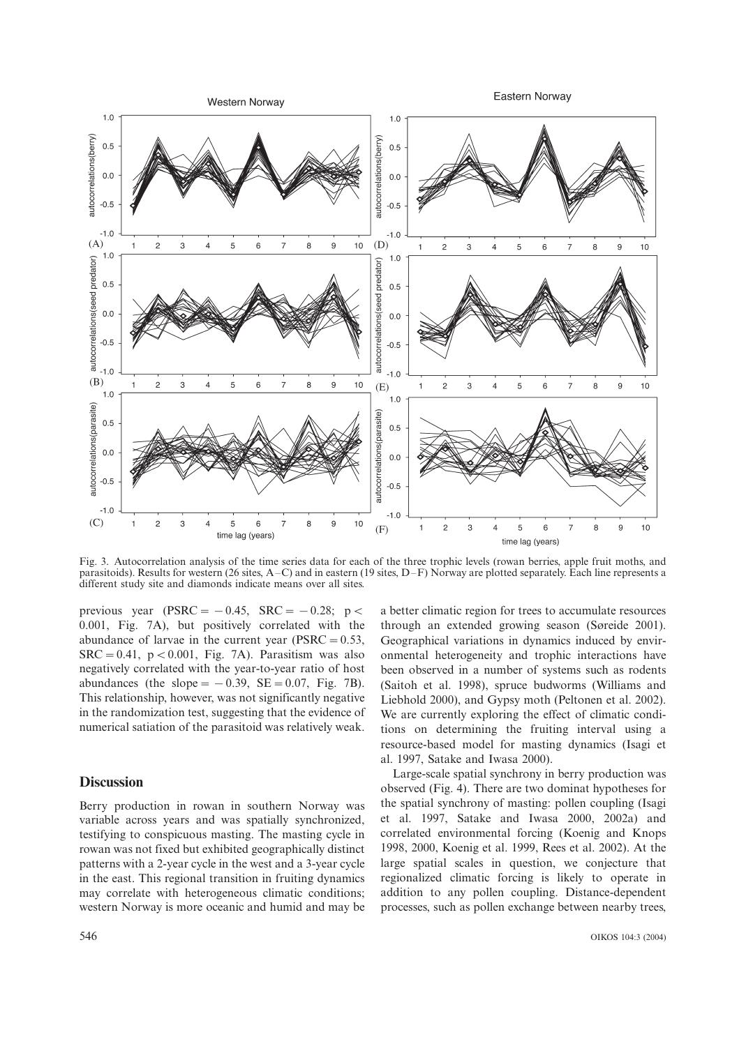

Fig. 3. Autocorrelation analysis of the time series data for each of the three trophic levels (rowan berries, apple fruit moths, and parasitoids). Results for western (26 sites,  $A-C$ ) and in eastern (19 sites,  $D-F$ ) Norway are plotted separately. Each line represents a different study site and diamonds indicate means over all sites.

previous year  $(PSRC = -0.45, SRC = -0.28; p <$ 0.001, Fig. 7A), but positively correlated with the abundance of larvae in the current year ( $PSRC = 0.53$ ,  $SRC = 0.41$ ,  $p < 0.001$ , Fig. 7A). Parasitism was also negatively correlated with the year-to-year ratio of host abundances (the slope  $= -0.39$ ,  $SE = 0.07$ , Fig. 7B). This relationship, however, was not significantly negative in the randomization test, suggesting that the evidence of numerical satiation of the parasitoid was relatively weak.

## **Discussion**

Berry production in rowan in southern Norway was variable across years and was spatially synchronized, testifying to conspicuous masting. The masting cycle in rowan was not fixed but exhibited geographically distinct patterns with a 2-year cycle in the west and a 3-year cycle in the east. This regional transition in fruiting dynamics may correlate with heterogeneous climatic conditions; western Norway is more oceanic and humid and may be a better climatic region for trees to accumulate resources through an extended growing season (Søreide 2001). Geographical variations in dynamics induced by environmental heterogeneity and trophic interactions have been observed in a number of systems such as rodents (Saitoh et al. 1998), spruce budworms (Williams and Liebhold 2000), and Gypsy moth (Peltonen et al. 2002). We are currently exploring the effect of climatic conditions on determining the fruiting interval using a resource-based model for masting dynamics (Isagi et al. 1997, Satake and Iwasa 2000).

Large-scale spatial synchrony in berry production was observed (Fig. 4). There are two dominat hypotheses for the spatial synchrony of masting: pollen coupling (Isagi et al. 1997, Satake and Iwasa 2000, 2002a) and correlated environmental forcing (Koenig and Knops 1998, 2000, Koenig et al. 1999, Rees et al. 2002). At the large spatial scales in question, we conjecture that regionalized climatic forcing is likely to operate in addition to any pollen coupling. Distance-dependent processes, such as pollen exchange between nearby trees,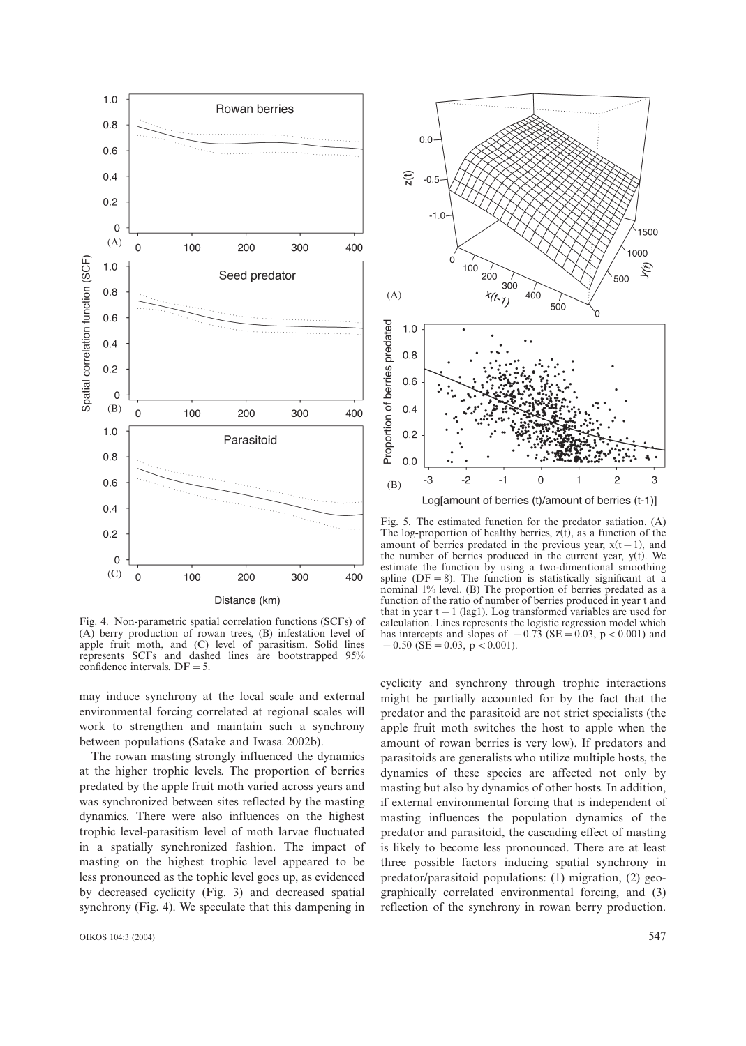

Fig. 4. Non-parametric spatial correlation functions (SCFs) of (A) berry production of rowan trees, (B) infestation level of apple fruit moth, and (C) level of parasitism. Solid lines represents SCFs and dashed lines are bootstrapped 95% confidence intervals.  $DF = 5$ .

may induce synchrony at the local scale and external environmental forcing correlated at regional scales will work to strengthen and maintain such a synchrony between populations (Satake and Iwasa 2002b).

The rowan masting strongly influenced the dynamics at the higher trophic levels. The proportion of berries predated by the apple fruit moth varied across years and was synchronized between sites reflected by the masting dynamics. There were also influences on the highest trophic level-parasitism level of moth larvae fluctuated in a spatially synchronized fashion. The impact of masting on the highest trophic level appeared to be less pronounced as the tophic level goes up, as evidenced by decreased cyclicity (Fig. 3) and decreased spatial synchrony (Fig. 4). We speculate that this dampening in



Fig. 5. The estimated function for the predator satiation. (A) The log-proportion of healthy berries,  $z(t)$ , as a function of the amount of berries predated in the previous year,  $x(t-1)$ , and the number of berries produced in the current year,  $y(t)$ . We estimate the function by using a two-dimentional smoothing spline ( $DF = 8$ ). The function is statistically significant at a nominal 1% level. (B) The proportion of berries predated as a function of the ratio of number of berries produced in year t and that in year  $t-1$  (lag1). Log transformed variables are used for calculation. Lines represents the logistic regression model which has intercepts and slopes of  $-0.73$  (SE = 0.03, p < 0.001) and  $-0.50$  (SE = 0.03, p < 0.001).

cyclicity and synchrony through trophic interactions might be partially accounted for by the fact that the predator and the parasitoid are not strict specialists (the apple fruit moth switches the host to apple when the amount of rowan berries is very low). If predators and parasitoids are generalists who utilize multiple hosts, the dynamics of these species are affected not only by masting but also by dynamics of other hosts. In addition, if external environmental forcing that is independent of masting influences the population dynamics of the predator and parasitoid, the cascading effect of masting is likely to become less pronounced. There are at least three possible factors inducing spatial synchrony in predator/parasitoid populations: (1) migration, (2) geographically correlated environmental forcing, and (3) reflection of the synchrony in rowan berry production.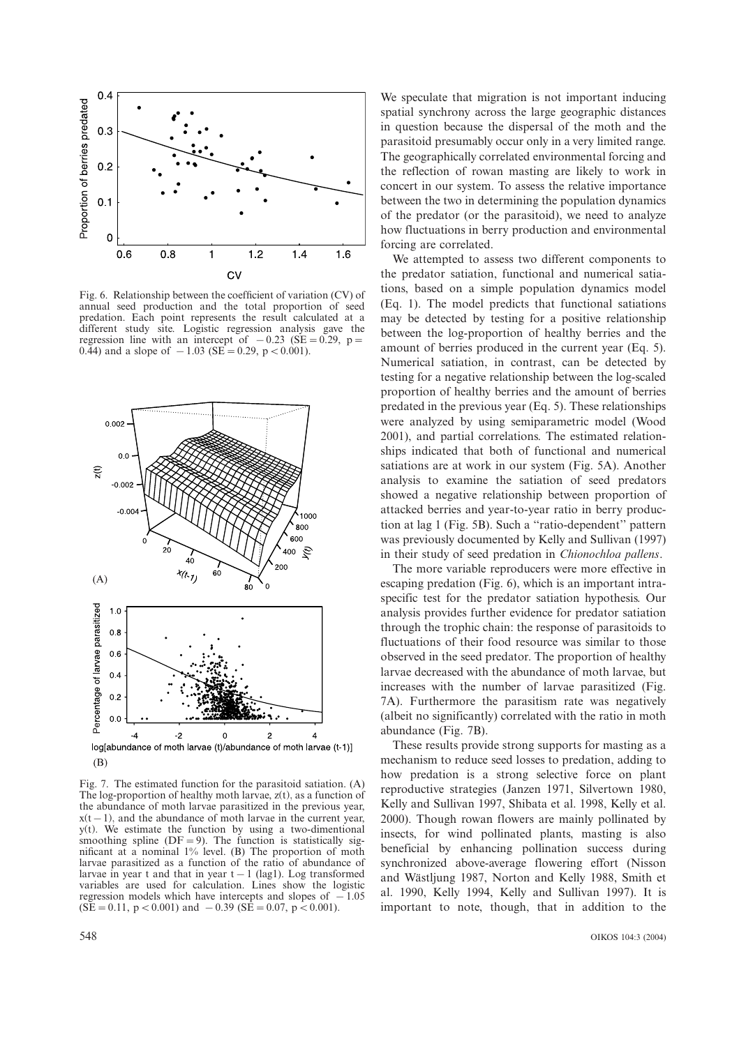

Fig. 6. Relationship between the coefficient of variation (CV) of annual seed production and the total proportion of seed predation. Each point represents the result calculated at a different study site. Logistic regression analysis gave the regression line with an intercept of  $-0.23$  (SE = 0.29, p = 0.44) and a slope of  $-1.03$  (SE = 0.29, p < 0.001).



Fig. 7. The estimated function for the parasitoid satiation. (A) The log-proportion of healthy moth larvae,  $z(t)$ , as a function of the abundance of moth larvae parasitized in the previous year,  $x(t-1)$ , and the abundance of moth larvae in the current year,  $y(t)$ . We estimate the function by using a two-dimentional smoothing spline ( $DF = 9$ ). The function is statistically significant at a nominal 1% level. (B) The proportion of moth larvae parasitized as a function of the ratio of abundance of larvae in year t and that in year  $t-1$  (lag1). Log transformed variables are used for calculation. Lines show the logistic regression models which have intercepts and slopes of  $-1.05$  $(SE = 0.11, p < 0.001)$  and  $-0.39$   $(SE = 0.07, p < 0.001)$ .

We speculate that migration is not important inducing spatial synchrony across the large geographic distances in question because the dispersal of the moth and the parasitoid presumably occur only in a very limited range. The geographically correlated environmental forcing and the reflection of rowan masting are likely to work in concert in our system. To assess the relative importance between the two in determining the population dynamics of the predator (or the parasitoid), we need to analyze how fluctuations in berry production and environmental forcing are correlated.

We attempted to assess two different components to the predator satiation, functional and numerical satiations, based on a simple population dynamics model (Eq. 1). The model predicts that functional satiations may be detected by testing for a positive relationship between the log-proportion of healthy berries and the amount of berries produced in the current year (Eq. 5). Numerical satiation, in contrast, can be detected by testing for a negative relationship between the log-scaled proportion of healthy berries and the amount of berries predated in the previous year (Eq. 5). These relationships were analyzed by using semiparametric model (Wood 2001), and partial correlations. The estimated relationships indicated that both of functional and numerical satiations are at work in our system (Fig. 5A). Another analysis to examine the satiation of seed predators showed a negative relationship between proportion of attacked berries and year-to-year ratio in berry production at lag 1 (Fig. 5B). Such a ''ratio-dependent'' pattern was previously documented by Kelly and Sullivan (1997) in their study of seed predation in Chionochloa pallens.

The more variable reproducers were more effective in escaping predation (Fig. 6), which is an important intraspecific test for the predator satiation hypothesis. Our analysis provides further evidence for predator satiation through the trophic chain: the response of parasitoids to fluctuations of their food resource was similar to those observed in the seed predator. The proportion of healthy larvae decreased with the abundance of moth larvae, but increases with the number of larvae parasitized (Fig. 7A). Furthermore the parasitism rate was negatively (albeit no significantly) correlated with the ratio in moth abundance (Fig. 7B).

These results provide strong supports for masting as a mechanism to reduce seed losses to predation, adding to how predation is a strong selective force on plant reproductive strategies (Janzen 1971, Silvertown 1980, Kelly and Sullivan 1997, Shibata et al. 1998, Kelly et al. 2000). Though rowan flowers are mainly pollinated by insects, for wind pollinated plants, masting is also beneficial by enhancing pollination success during synchronized above-average flowering effort (Nisson and Wästljung 1987, Norton and Kelly 1988, Smith et al. 1990, Kelly 1994, Kelly and Sullivan 1997). It is important to note, though, that in addition to the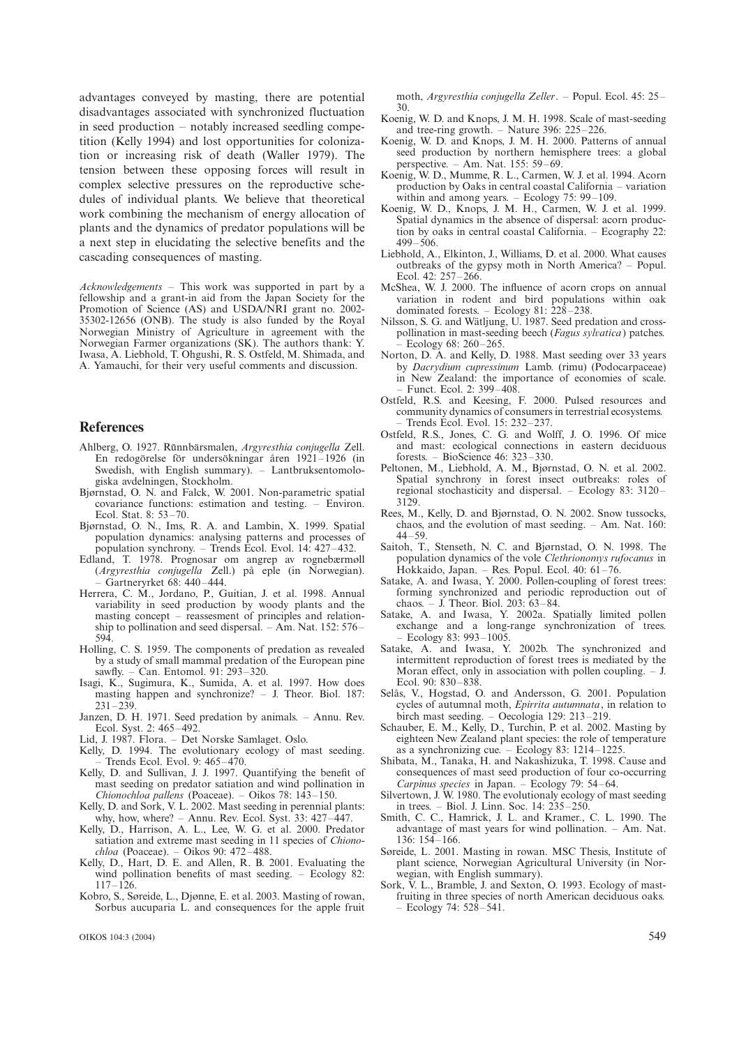advantages conveyed by masting, there are potential disadvantages associated with synchronized fluctuation in seed production  $-$  notably increased seedling competition (Kelly 1994) and lost opportunities for colonization or increasing risk of death (Waller 1979). The tension between these opposing forces will result in complex selective pressures on the reproductive schedules of individual plants. We believe that theoretical work combining the mechanism of energy allocation of plants and the dynamics of predator populations will be a next step in elucidating the selective benefits and the cascading consequences of masting.

 $Acknowledgements$  – This work was supported in part by a fellowship and a grant-in aid from the Japan Society for the Promotion of Science (AS) and USDA/NRI grant no. 2002- 35302-12656 (ONB). The study is also funded by the Royal Norwegian Ministry of Agriculture in agreement with the Norwegian Farmer organizations (SK). The authors thank: Y. Iwasa, A. Liebhold, T. Ohgushi, R. S. Ostfeld, M. Shimada, and A. Yamauchi, for their very useful comments and discussion.

#### **References**

- Ahlberg, O. 1927. Rŭnnbärsmalen, Argyresthia conjugella Zell. En redogörelse för undersökningar åren 1921-1926 (in Swedish, with English summary). - Lantbruksentomologiska avdelningen, Stockholm.
- Bjørnstad, O. N. and Falck, W. 2001. Non-parametric spatial covariance functions: estimation and testing. - Environ. Ecol. Stat. 8: 53-70.
- Bjørnstad, O. N., Ims, R. A. and Lambin, X. 1999. Spatial population dynamics: analysing patterns and processes of population synchrony. – Trends Ecol. Evol. 14: 427–432.
- Edland, T. 1978. Prognosar om angrep av rognebærmøll (Argyresthia conjugella Zell.) på eple (in Norwegian).  $-$  Gartneryrket 68: 440-444.
- Herrera, C. M., Jordano, P., Guitian, J. et al. 1998. Annual variability in seed production by woody plants and the masting concept – reassesment of principles and relationship to pollination and seed dispersal.  $-$  Am. Nat. 152: 576– 594.
- Holling, C. S. 1959. The components of predation as revealed by a study of small mammal predation of the European pine sawfly. - Can. Entomol. 91: 293-320.
- Isagi, K., Sugimura, K., Sumida, A. et al. 1997. How does masting happen and synchronize? - J. Theor. Biol. 187:  $231 - 239$
- Janzen, D. H. 1971. Seed predation by animals. Annu. Rev. Ecol. Syst. 2: 465-492
- Lid, J. 1987. Flora. Det Norske Samlaget. Oslo.
- Kelly, D. 1994. The evolutionary ecology of mast seeding. Trends Ecol. Evol. 9: 465-470.
- Kelly, D. and Sullivan, J. J. 1997. Quantifying the benefit of mast seeding on predator satiation and wind pollination in Chionochloa pallens (Poaceae). - Oikos 78: 143-150.
- Kelly, D. and Sork, V. L. 2002. Mast seeding in perennial plants: why, how, where?  $-$  Annu. Rev. Ecol. Syst. 33: 427 $-\overline{4}47$ .
- Kelly, D., Harrison, A. L., Lee, W. G. et al. 2000. Predator satiation and extreme mast seeding in 11 species of Chiono $chloa$  (Poaceae). - Oikos 90: 472-488.
- Kelly, D., Hart, D. E. and Allen, R. B. 2001. Evaluating the wind pollination benefits of mast seeding.  $-$  Ecology 82:  $117 - 126$ .
- Kobro, S., Søreide, L., Djønne, E. et al. 2003. Masting of rowan, Sorbus aucuparia L. and consequences for the apple fruit

moth, Argyresthia conjugella Zeller. - Popul. Ecol. 45: 25-30.

- Koenig, W. D. and Knops, J. M. H. 1998. Scale of mast-seeding and tree-ring growth.  $-$  Nature 396: 225 $-$ 226.
- Koenig, W. D. and Knops, J. M. H. 2000. Patterns of annual seed production by northern hemisphere trees: a global perspective.  $-$  Am. Nat. 155: 59 $-69$ .
- Koenig, W. D., Mumme, R. L., Carmen, W. J. et al. 1994. Acorn production by Oaks in central coastal California – variation within and among years.  $-$  Ecology 75: 99–109.
- Koenig, W. D., Knops, J. M. H., Carmen, W. J. et al. 1999. Spatial dynamics in the absence of dispersal: acorn production by oaks in central coastal California.  $-$  Ecography 22: 499-506.
- Liebhold, A., Elkinton, J., Williams, D. et al. 2000. What causes outbreaks of the gypsy moth in North America? - Popul. Ecol. 42: 257-266.
- McShea, W. J. 2000. The influence of acorn crops on annual variation in rodent and bird populations within oak dominated forests. – Ecology 81:  $228 - 238$ .
- Nilsson, S. G. and Wätljung, U. 1987. Seed predation and crosspollination in mast-seeding beech (Fagus sylvatica) patches. Ecology 68: 260-265.
- Norton, D. A. and Kelly, D. 1988. Mast seeding over 33 years by Dacrydium cupressinum Lamb. (rimu) (Podocarpaceae) in New Zealand: the importance of economies of scale. Funct. Ecol. 2: 399-408.
- Ostfeld, R.S. and Keesing, F. 2000. Pulsed resources and community dynamics of consumers in terrestrial ecosystems. Trends Ecol. Evol. 15: 232-237.
- Ostfeld, R.S., Jones, C. G. and Wolff, J. O. 1996. Of mice and mast: ecological connections in eastern deciduous forests. - BioScience 46:  $323-330$ .
- Peltonen, M., Liebhold, A. M., Bjørnstad, O. N. et al. 2002. Spatial synchrony in forest insect outbreaks: roles of regional stochasticity and dispersal. - Ecology 83: 3120-3129.
- Rees, M., Kelly, D. and Bjørnstad, O. N. 2002. Snow tussocks, chaos, and the evolution of mast seeding.  $-$  Am. Nat. 160:  $44 - 59.$
- Saitoh, T., Stenseth, N. C. and Bjørnstad, O. N. 1998. The population dynamics of the vole Clethrionomys rufocanus in Hokkaido, Japan. - Res. Popul. Ecol. 40:  $61-76$ .
- Satake, A. and Iwasa, Y. 2000. Pollen-coupling of forest trees: forming synchronized and periodic reproduction out of chaos. – J. Theor. Biol. 203:  $63-84$ .
- Satake, A. and Iwasa, Y. 2002a. Spatially limited pollen exchange and a long-range synchronization of trees.
- Ecology 83: 993-1005.<br>Satake, A. and Iwasa, Y. 2002b. The synchronized and intermittent reproduction of forest trees is mediated by the Moran effect, only in association with pollen coupling.  $-$  J. Ecol. 90: 830-838.
- Selås, V., Hogstad, O. and Andersson, G. 2001. Population cycles of autumnal moth, Epirrita autumnata, in relation to birch mast seeding. – Oecologia 129: 213–219.
- Schauber, E. M., Kelly, D., Turchin, P. et al. 2002. Masting by eighteen New Zealand plant species: the role of temperature as a synchronizing cue.  $-$  Ecology 83: 1214-1225.
- Shibata, M., Tanaka, H. and Nakashizuka, T. 1998. Cause and consequences of mast seed production of four co-occurring Carpinus species in Japan. - Ecology 79: 54-64.
- Silvertown, J. W. 1980. The evolutionaly ecology of mast seeding in trees. – Biol. J. Linn. Soc. 14: 235–250.
- Smith, C. C., Hamrick, J. L. and Kramer., C. L. 1990. The advantage of mast years for wind pollination.  $-$  Am. Nat. 136: 154-166.
- Søreide, L. 2001. Masting in rowan. MSC Thesis, Institute of plant science, Norwegian Agricultural University (in Norwegian, with English summary).
- Sork, V. L., Bramble, J. and Sexton, O. 1993. Ecology of mastfruiting in three species of north American deciduous oaks.  $-$  Ecology 74: 528 $-541$ .